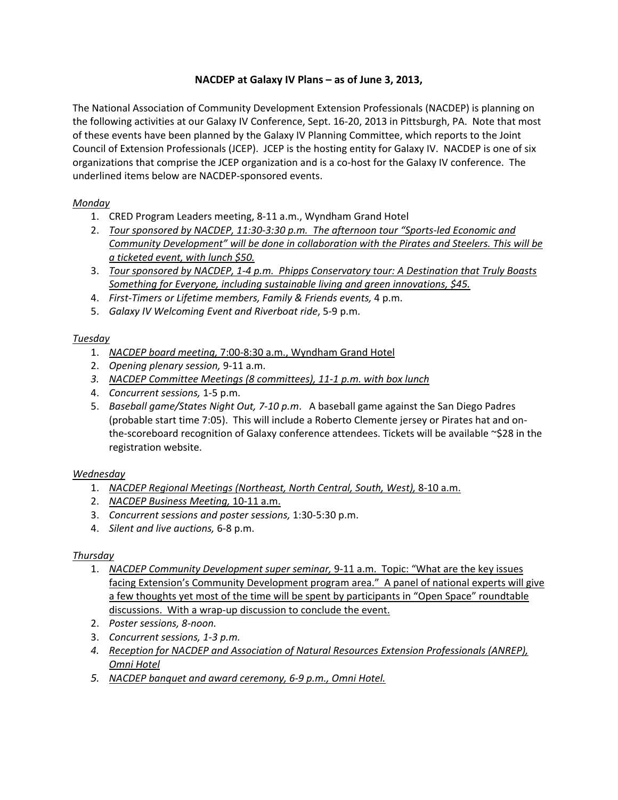# **NACDEP at Galaxy IV Plans – as of June 3, 2013,**

The National Association of Community Development Extension Professionals (NACDEP) is planning on the following activities at our Galaxy IV Conference, Sept. 16‐20, 2013 in Pittsburgh, PA. Note that most of these events have been planned by the Galaxy IV Planning Committee, which reports to the Joint Council of Extension Professionals (JCEP). JCEP is the hosting entity for Galaxy IV. NACDEP is one of six organizations that comprise the JCEP organization and is a co‐host for the Galaxy IV conference. The underlined items below are NACDEP‐sponsored events.

## *Monday*

- 1. CRED Program Leaders meeting, 8‐11 a.m., Wyndham Grand Hotel
- 2. *Tour sponsored by NACDEP, 11:30‐3:30 p.m. The afternoon tour "Sports‐led Economic and Community Development" will be done in collaboration with the Pirates and Steelers. This will be a ticketed event, with lunch \$50.*
- 3. *Tour sponsored by NACDEP, 1‐4 p.m. Phipps Conservatory tour: A Destination that Truly Boasts Something for Everyone, including sustainable living and green innovations, \$45.*
- 4. *First‐Timers or Lifetime members, Family & Friends events,* 4 p.m.
- 5. *Galaxy IV Welcoming Event and Riverboat ride*, 5‐9 p.m.

## *Tuesday*

- 1. *NACDEP board meeting,* 7:00‐8:30 a.m., Wyndham Grand Hotel
- 2. *Opening plenary session,* 9‐11 a.m.
- *3. NACDEP Committee Meetings (8 committees), 11‐1 p.m. with box lunch*
- 4. *Concurrent sessions,* 1‐5 p.m.
- 5. *Baseball game/States Night Out, 7‐10 p.m*. A baseball game against the San Diego Padres (probable start time 7:05). This will include a Roberto Clemente jersey or Pirates hat and on‐ the-scoreboard recognition of Galaxy conference attendees. Tickets will be available ~\$28 in the registration website.

## *Wednesday*

- 1. *NACDEP Regional Meetings (Northeast, North Central, South, West),* 8‐10 a.m.
- 2. *NACDEP Business Meeting,* 10‐11 a.m.
- 3. *Concurrent sessions and poster sessions,* 1:30‐5:30 p.m.
- 4. *Silent and live auctions,* 6‐8 p.m.

## *Thursday*

- 1. *NACDEP Community Development super seminar,* 9‐11 a.m. Topic: "What are the key issues facing Extension's Community Development program area." A panel of national experts will give a few thoughts yet most of the time will be spent by participants in "Open Space" roundtable discussions. With a wrap‐up discussion to conclude the event.
- 2. *Poster sessions, 8‐noon.*
- 3. *Concurrent sessions, 1‐3 p.m.*
- *4. Reception for NACDEP and Association of Natural Resources Extension Professionals (ANREP), Omni Hotel*
- *5. NACDEP banquet and award ceremony, 6‐9 p.m., Omni Hotel.*